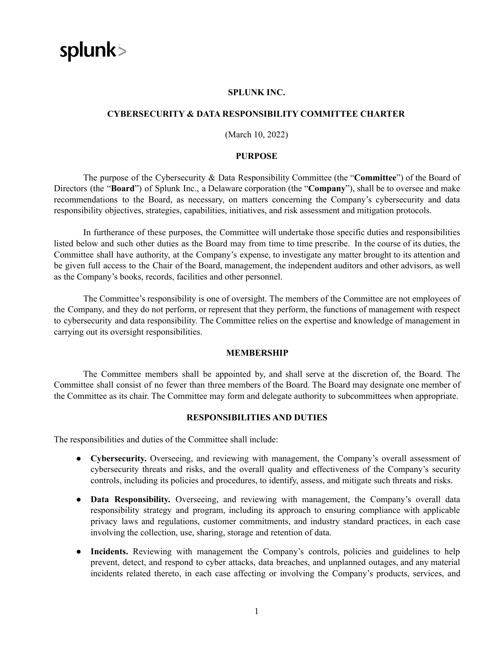

#### **SPLUNK INC.**

## **CYBERSECURITY & DATA RESPONSIBILITY COMMITTEE CHARTER**

# (March 10, 2022)

## **PURPOSE**

The purpose of the Cybersecurity & Data Responsibility Committee (the "**Committee**") of the Board of Directors (the "**Board**") of Splunk Inc., a Delaware corporation (the "**Company**"), shall be to oversee and make recommendations to the Board, as necessary, on matters concerning the Company's cybersecurity and data responsibility objectives, strategies, capabilities, initiatives, and risk assessment and mitigation protocols.

In furtherance of these purposes, the Committee will undertake those specific duties and responsibilities listed below and such other duties as the Board may from time to time prescribe. In the course of its duties, the Committee shall have authority, at the Company's expense, to investigate any matter brought to its attention and be given full access to the Chair of the Board, management, the independent auditors and other advisors, as well as the Company's books, records, facilities and other personnel.

The Committee's responsibility is one of oversight. The members of the Committee are not employees of the Company, and they do not perform, or represent that they perform, the functions of management with respect to cybersecurity and data responsibility. The Committee relies on the expertise and knowledge of management in carrying out its oversight responsibilities.

#### **MEMBERSHIP**

The Committee members shall be appointed by, and shall serve at the discretion of, the Board. The Committee shall consist of no fewer than three members of the Board. The Board may designate one member of the Committee as its chair. The Committee may form and delegate authority to subcommittees when appropriate.

## **RESPONSIBILITIES AND DUTIES**

The responsibilities and duties of the Committee shall include:

- **Cybersecurity.** Overseeing, and reviewing with management, the Company's overall assessment of cybersecurity threats and risks, and the overall quality and effectiveness of the Company's security controls, including its policies and procedures, to identify, assess, and mitigate such threats and risks.
- **Data Responsibility.** Overseeing, and reviewing with management, the Company's overall data responsibility strategy and program, including its approach to ensuring compliance with applicable privacy laws and regulations, customer commitments, and industry standard practices, in each case involving the collection, use, sharing, storage and retention of data.
- Incidents. Reviewing with management the Company's controls, policies and guidelines to help prevent, detect, and respond to cyber attacks, data breaches, and unplanned outages, and any material incidents related thereto, in each case affecting or involving the Company's products, services, and